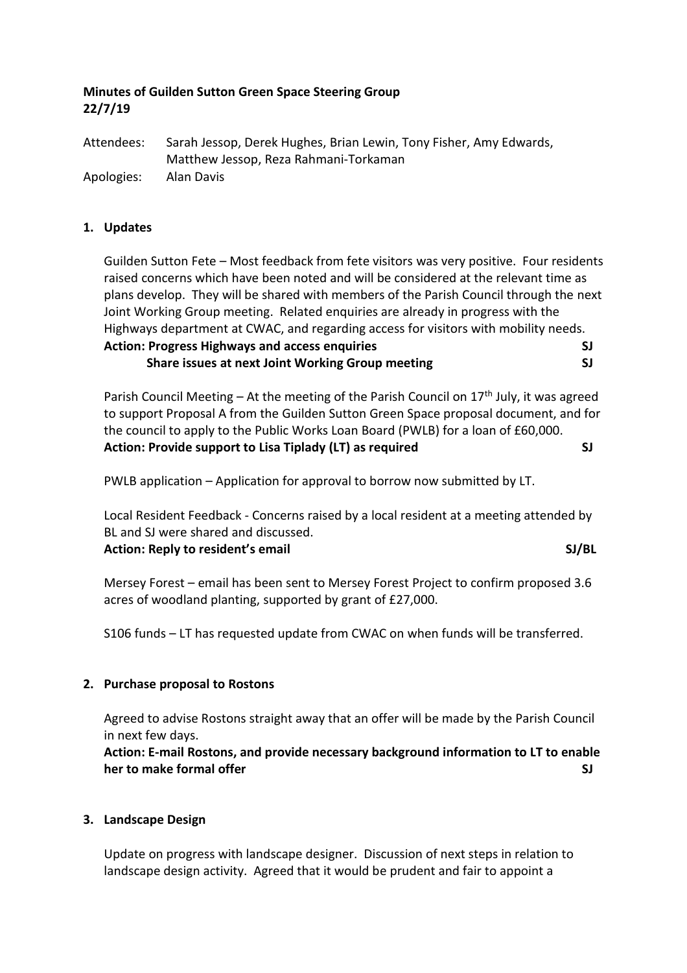# **Minutes of Guilden Sutton Green Space Steering Group 22/7/19**

Attendees: Sarah Jessop, Derek Hughes, Brian Lewin, Tony Fisher, Amy Edwards, Matthew Jessop, Reza Rahmani-Torkaman Apologies: Alan Davis

### **1. Updates**

Guilden Sutton Fete – Most feedback from fete visitors was very positive. Four residents raised concerns which have been noted and will be considered at the relevant time as plans develop. They will be shared with members of the Parish Council through the next Joint Working Group meeting. Related enquiries are already in progress with the Highways department at CWAC, and regarding access for visitors with mobility needs. **Action: Progress Highways and access enquiries SJ**

 **Share issues at next Joint Working Group meeting SJ**

Parish Council Meeting – At the meeting of the Parish Council on  $17<sup>th</sup>$  July, it was agreed to support Proposal A from the Guilden Sutton Green Space proposal document, and for the council to apply to the Public Works Loan Board (PWLB) for a loan of £60,000. Action: Provide support to Lisa Tiplady (LT) as required **SI** SJ

PWLB application – Application for approval to borrow now submitted by LT.

Local Resident Feedback - Concerns raised by a local resident at a meeting attended by BL and SJ were shared and discussed.

**Action: Reply to resident's email SJ/BL**

Mersey Forest – email has been sent to Mersey Forest Project to confirm proposed 3.6 acres of woodland planting, supported by grant of £27,000.

S106 funds – LT has requested update from CWAC on when funds will be transferred.

### **2. Purchase proposal to Rostons**

Agreed to advise Rostons straight away that an offer will be made by the Parish Council in next few days.

**Action: E-mail Rostons, and provide necessary background information to LT to enable her to make formal offer SJ**

#### **3. Landscape Design**

Update on progress with landscape designer. Discussion of next steps in relation to landscape design activity. Agreed that it would be prudent and fair to appoint a